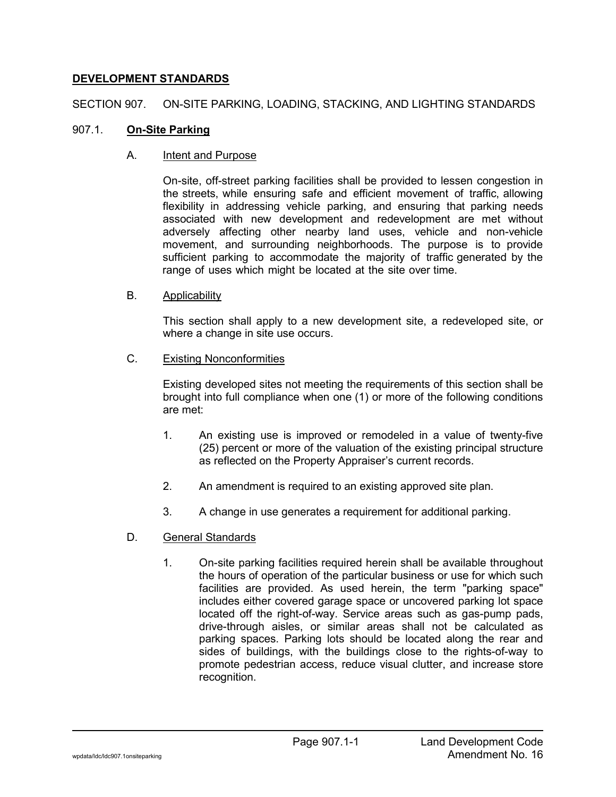# **DEVELOPMENT STANDARDS**

SECTION 907. ON-SITE PARKING, LOADING, STACKING, AND LIGHTING STANDARDS

## 907.1. **On-Site Parking**

## A. Intent and Purpose

On-site, off-street parking facilities shall be provided to lessen congestion in the streets, while ensuring safe and efficient movement of traffic, allowing flexibility in addressing vehicle parking, and ensuring that parking needs associated with new development and redevelopment are met without adversely affecting other nearby land uses, vehicle and non-vehicle movement, and surrounding neighborhoods. The purpose is to provide sufficient parking to accommodate the majority of traffic generated by the range of uses which might be located at the site over time.

## B. Applicability

This section shall apply to a new development site, a redeveloped site, or where a change in site use occurs.

### C. Existing Nonconformities

Existing developed sites not meeting the requirements of this section shall be brought into full compliance when one (1) or more of the following conditions are met:

- 1. An existing use is improved or remodeled in a value of twenty-five (25) percent or more of the valuation of the existing principal structure as reflected on the Property Appraiser's current records.
- 2. An amendment is required to an existing approved site plan.
- 3. A change in use generates a requirement for additional parking.
- D. General Standards
	- 1. On-site parking facilities required herein shall be available throughout the hours of operation of the particular business or use for which such facilities are provided. As used herein, the term "parking space" includes either covered garage space or uncovered parking lot space located off the right-of-way. Service areas such as gas-pump pads, drive-through aisles, or similar areas shall not be calculated as parking spaces. Parking lots should be located along the rear and sides of buildings, with the buildings close to the rights-of-way to promote pedestrian access, reduce visual clutter, and increase store recognition.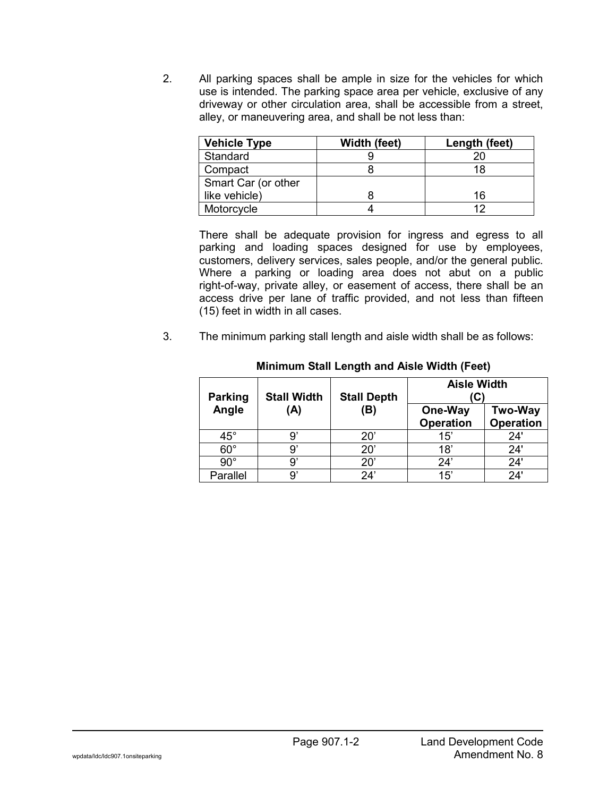2. All parking spaces shall be ample in size for the vehicles for which use is intended. The parking space area per vehicle, exclusive of any driveway or other circulation area, shall be accessible from a street, alley, or maneuvering area, and shall be not less than:

| <b>Vehicle Type</b> | Width (feet) | Length (feet) |
|---------------------|--------------|---------------|
| Standard            |              | 20            |
| Compact             |              | 18            |
| Smart Car (or other |              |               |
| like vehicle)       |              | 16            |
| Motorcycle          |              | ィク            |

There shall be adequate provision for ingress and egress to all parking and loading spaces designed for use by employees, customers, delivery services, sales people, and/or the general public. Where a parking or loading area does not abut on a public right-of-way, private alley, or easement of access, there shall be an access drive per lane of traffic provided, and not less than fifteen (15) feet in width in all cases.

3. The minimum parking stall length and aisle width shall be as follows:

| <b>Parking</b> | <b>Stall Width</b> | <b>Stall Depth</b> | <b>Aisle Width</b><br>C     |                                    |
|----------------|--------------------|--------------------|-----------------------------|------------------------------------|
| Angle          | (A)                | (B)                | One-Way<br><b>Operation</b> | <b>Two-Way</b><br><b>Operation</b> |
| $45^{\circ}$   | 9                  | $20^{\circ}$       | 15'                         | 24'                                |
| $60^\circ$     | 9                  | 20'                | 18'                         | 24'                                |
| $90^{\circ}$   | 9                  | $20^{\circ}$       | 24'                         | 24'                                |
| Parallel       | g,                 | 24'                | 15'                         | 24'                                |

### **Minimum Stall Length and Aisle Width (Feet)**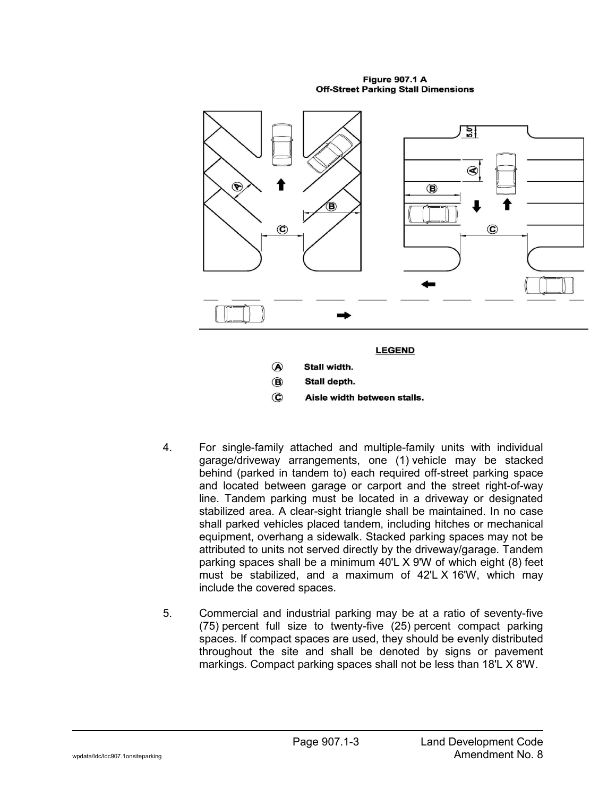**Figure 907.1 A Off-Street Parking Stall Dimensions** 



- Stall depth.  $\circledcirc$
- $\odot$ Aisle width between stalls.
- 4. For single-family attached and multiple-family units with individual garage/driveway arrangements, one (1) vehicle may be stacked behind (parked in tandem to) each required off-street parking space and located between garage or carport and the street right-of-way line. Tandem parking must be located in a driveway or designated stabilized area. A clear-sight triangle shall be maintained. In no case shall parked vehicles placed tandem, including hitches or mechanical equipment, overhang a sidewalk. Stacked parking spaces may not be attributed to units not served directly by the driveway/garage. Tandem parking spaces shall be a minimum 40'L X 9'W of which eight (8) feet must be stabilized, and a maximum of 42'L X 16'W, which may include the covered spaces.
- 5. Commercial and industrial parking may be at a ratio of seventy-five (75) percent full size to twenty-five (25) percent compact parking spaces. If compact spaces are used, they should be evenly distributed throughout the site and shall be denoted by signs or pavement markings. Compact parking spaces shall not be less than 18'L X 8'W.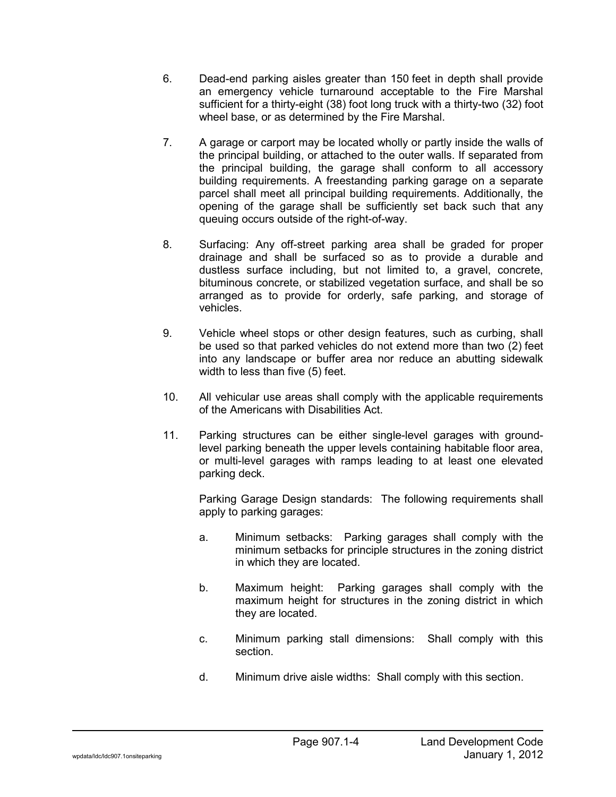- 6. Dead-end parking aisles greater than 150 feet in depth shall provide an emergency vehicle turnaround acceptable to the Fire Marshal sufficient for a thirty-eight (38) foot long truck with a thirty-two (32) foot wheel base, or as determined by the Fire Marshal.
- 7. A garage or carport may be located wholly or partly inside the walls of the principal building, or attached to the outer walls. If separated from the principal building, the garage shall conform to all accessory building requirements. A freestanding parking garage on a separate parcel shall meet all principal building requirements. Additionally, the opening of the garage shall be sufficiently set back such that any queuing occurs outside of the right-of-way.
- 8. Surfacing: Any off-street parking area shall be graded for proper drainage and shall be surfaced so as to provide a durable and dustless surface including, but not limited to, a gravel, concrete, bituminous concrete, or stabilized vegetation surface, and shall be so arranged as to provide for orderly, safe parking, and storage of vehicles.
- 9. Vehicle wheel stops or other design features, such as curbing, shall be used so that parked vehicles do not extend more than two (2) feet into any landscape or buffer area nor reduce an abutting sidewalk width to less than five (5) feet.
- 10. All vehicular use areas shall comply with the applicable requirements of the Americans with Disabilities Act.
- 11. Parking structures can be either single-level garages with groundlevel parking beneath the upper levels containing habitable floor area, or multi-level garages with ramps leading to at least one elevated parking deck.

Parking Garage Design standards: The following requirements shall apply to parking garages:

- a. Minimum setbacks: Parking garages shall comply with the minimum setbacks for principle structures in the zoning district in which they are located.
- b. Maximum height: Parking garages shall comply with the maximum height for structures in the zoning district in which they are located.
- c. Minimum parking stall dimensions: Shall comply with this section.
- d. Minimum drive aisle widths: Shall comply with this section.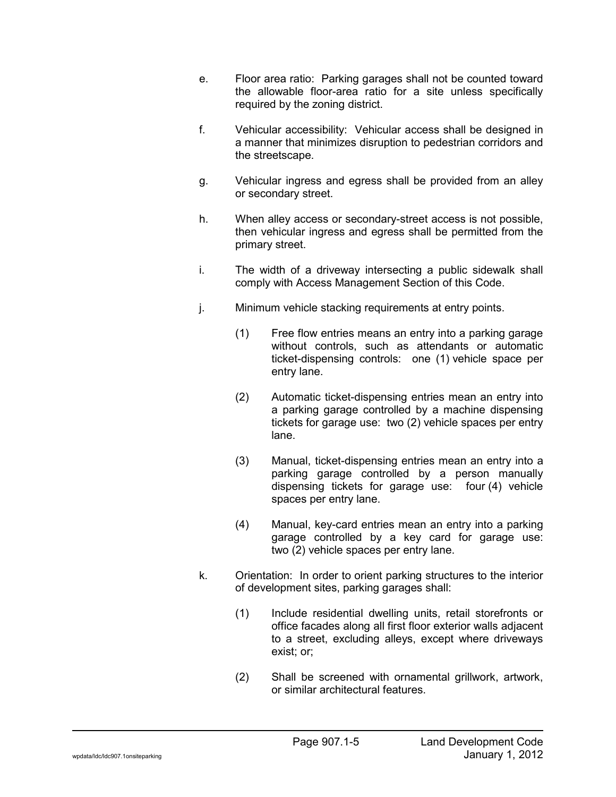- e. Floor area ratio: Parking garages shall not be counted toward the allowable floor-area ratio for a site unless specifically required by the zoning district.
- f. Vehicular accessibility: Vehicular access shall be designed in a manner that minimizes disruption to pedestrian corridors and the streetscape.
- g. Vehicular ingress and egress shall be provided from an alley or secondary street.
- h. When alley access or secondary-street access is not possible, then vehicular ingress and egress shall be permitted from the primary street.
- i. The width of a driveway intersecting a public sidewalk shall comply with Access Management Section of this Code.
- j. Minimum vehicle stacking requirements at entry points.
	- (1) Free flow entries means an entry into a parking garage without controls, such as attendants or automatic ticket-dispensing controls: one (1) vehicle space per entry lane.
	- (2) Automatic ticket-dispensing entries mean an entry into a parking garage controlled by a machine dispensing tickets for garage use: two (2) vehicle spaces per entry lane.
	- (3) Manual, ticket-dispensing entries mean an entry into a parking garage controlled by a person manually dispensing tickets for garage use: four (4) vehicle spaces per entry lane.
	- (4) Manual, key-card entries mean an entry into a parking garage controlled by a key card for garage use: two (2) vehicle spaces per entry lane.
- k. Orientation: In order to orient parking structures to the interior of development sites, parking garages shall:
	- (1) Include residential dwelling units, retail storefronts or office facades along all first floor exterior walls adjacent to a street, excluding alleys, except where driveways exist; or;
	- (2) Shall be screened with ornamental grillwork, artwork, or similar architectural features.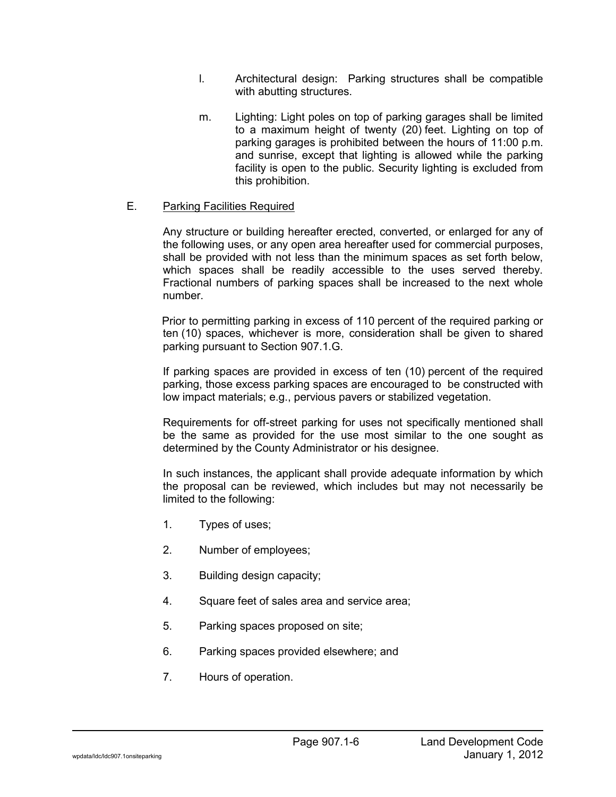- l. Architectural design: Parking structures shall be compatible with abutting structures.
- m. Lighting: Light poles on top of parking garages shall be limited to a maximum height of twenty (20) feet. Lighting on top of parking garages is prohibited between the hours of 11:00 p.m. and sunrise, except that lighting is allowed while the parking facility is open to the public. Security lighting is excluded from this prohibition.

# E. Parking Facilities Required

Any structure or building hereafter erected, converted, or enlarged for any of the following uses, or any open area hereafter used for commercial purposes, shall be provided with not less than the minimum spaces as set forth below, which spaces shall be readily accessible to the uses served thereby. Fractional numbers of parking spaces shall be increased to the next whole number.

Prior to permitting parking in excess of 110 percent of the required parking or ten (10) spaces, whichever is more, consideration shall be given to shared parking pursuant to Section 907.1.G.

If parking spaces are provided in excess of ten (10) percent of the required parking, those excess parking spaces are encouraged to be constructed with low impact materials; e.g., pervious pavers or stabilized vegetation.

Requirements for off-street parking for uses not specifically mentioned shall be the same as provided for the use most similar to the one sought as determined by the County Administrator or his designee.

In such instances, the applicant shall provide adequate information by which the proposal can be reviewed, which includes but may not necessarily be limited to the following:

- 1. Types of uses;
- 2. Number of employees;
- 3. Building design capacity;
- 4. Square feet of sales area and service area;
- 5. Parking spaces proposed on site;
- 6. Parking spaces provided elsewhere; and
- 7. Hours of operation.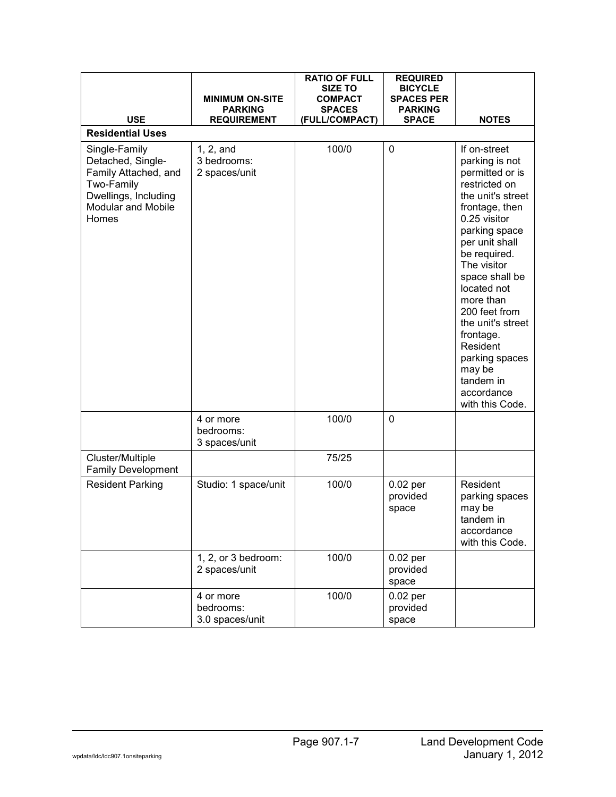| <b>USE</b>                                                                                                                             | <b>MINIMUM ON-SITE</b><br><b>PARKING</b><br><b>REQUIREMENT</b> | <b>RATIO OF FULL</b><br><b>SIZE TO</b><br><b>COMPACT</b><br><b>SPACES</b><br>(FULL/COMPACT) | <b>REQUIRED</b><br><b>BICYCLE</b><br><b>SPACES PER</b><br><b>PARKING</b><br><b>SPACE</b> | <b>NOTES</b>                                                                                                                                                                                                                                                                                                                                                                       |
|----------------------------------------------------------------------------------------------------------------------------------------|----------------------------------------------------------------|---------------------------------------------------------------------------------------------|------------------------------------------------------------------------------------------|------------------------------------------------------------------------------------------------------------------------------------------------------------------------------------------------------------------------------------------------------------------------------------------------------------------------------------------------------------------------------------|
| <b>Residential Uses</b>                                                                                                                |                                                                |                                                                                             |                                                                                          |                                                                                                                                                                                                                                                                                                                                                                                    |
| Single-Family<br>Detached, Single-<br>Family Attached, and<br>Two-Family<br>Dwellings, Including<br><b>Modular and Mobile</b><br>Homes | 1, 2, and<br>3 bedrooms:<br>2 spaces/unit                      | 100/0                                                                                       | $\mathbf 0$                                                                              | If on-street<br>parking is not<br>permitted or is<br>restricted on<br>the unit's street<br>frontage, then<br>0.25 visitor<br>parking space<br>per unit shall<br>be required.<br>The visitor<br>space shall be<br>located not<br>more than<br>200 feet from<br>the unit's street<br>frontage.<br>Resident<br>parking spaces<br>may be<br>tandem in<br>accordance<br>with this Code. |
|                                                                                                                                        | 4 or more<br>bedrooms:<br>3 spaces/unit                        | 100/0                                                                                       | $\mathbf 0$                                                                              |                                                                                                                                                                                                                                                                                                                                                                                    |
| Cluster/Multiple<br><b>Family Development</b>                                                                                          |                                                                | 75/25                                                                                       |                                                                                          |                                                                                                                                                                                                                                                                                                                                                                                    |
| <b>Resident Parking</b>                                                                                                                | Studio: 1 space/unit                                           | 100/0                                                                                       | $0.02$ per<br>provided<br>space                                                          | Resident<br>parking spaces<br>may be<br>tandem in<br>accordance<br>with this Code.                                                                                                                                                                                                                                                                                                 |
|                                                                                                                                        | 1, 2, or 3 bedroom:<br>2 spaces/unit                           | 100/0                                                                                       | $0.02$ per<br>provided<br>space                                                          |                                                                                                                                                                                                                                                                                                                                                                                    |
|                                                                                                                                        | 4 or more<br>bedrooms:<br>3.0 spaces/unit                      | 100/0                                                                                       | $0.02$ per<br>provided<br>space                                                          |                                                                                                                                                                                                                                                                                                                                                                                    |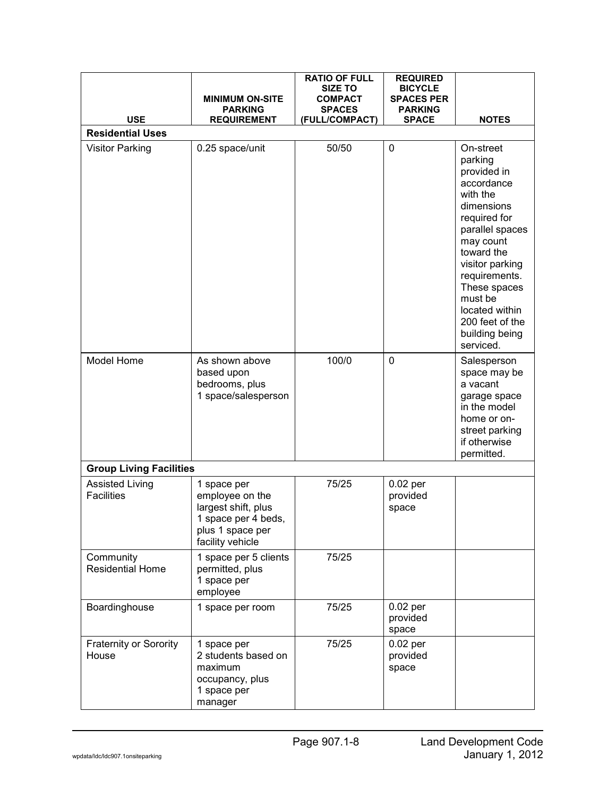|                                             | <b>MINIMUM ON-SITE</b>                                                                                               | <b>RATIO OF FULL</b><br><b>SIZE TO</b><br><b>COMPACT</b> | <b>REQUIRED</b><br><b>BICYCLE</b><br><b>SPACES PER</b> |                                                                                                                                                                                                                                                                              |
|---------------------------------------------|----------------------------------------------------------------------------------------------------------------------|----------------------------------------------------------|--------------------------------------------------------|------------------------------------------------------------------------------------------------------------------------------------------------------------------------------------------------------------------------------------------------------------------------------|
| <b>USE</b>                                  | <b>PARKING</b><br><b>REQUIREMENT</b>                                                                                 | <b>SPACES</b><br>(FULL/COMPACT)                          | <b>PARKING</b><br><b>SPACE</b>                         | <b>NOTES</b>                                                                                                                                                                                                                                                                 |
| <b>Residential Uses</b>                     |                                                                                                                      |                                                          |                                                        |                                                                                                                                                                                                                                                                              |
| <b>Visitor Parking</b>                      | 0.25 space/unit                                                                                                      | 50/50                                                    | 0                                                      | On-street<br>parking<br>provided in<br>accordance<br>with the<br>dimensions<br>required for<br>parallel spaces<br>may count<br>toward the<br>visitor parking<br>requirements.<br>These spaces<br>must be<br>located within<br>200 feet of the<br>building being<br>serviced. |
| Model Home                                  | As shown above<br>based upon<br>bedrooms, plus<br>1 space/salesperson                                                | 100/0                                                    | 0                                                      | Salesperson<br>space may be<br>a vacant<br>garage space<br>in the model<br>home or on-<br>street parking<br>if otherwise<br>permitted.                                                                                                                                       |
| <b>Group Living Facilities</b>              |                                                                                                                      |                                                          |                                                        |                                                                                                                                                                                                                                                                              |
| <b>Assisted Living</b><br><b>Facilities</b> | 1 space per<br>employee on the<br>largest shift, plus<br>1 space per 4 beds,<br>plus 1 space per<br>facility vehicle | 75/25                                                    | $0.02$ per<br>provided<br>space                        |                                                                                                                                                                                                                                                                              |
| Community<br><b>Residential Home</b>        | 1 space per 5 clients<br>permitted, plus<br>1 space per<br>employee                                                  | 75/25                                                    |                                                        |                                                                                                                                                                                                                                                                              |
| Boardinghouse                               | 1 space per room                                                                                                     | 75/25                                                    | $0.02$ per<br>provided<br>space                        |                                                                                                                                                                                                                                                                              |
| <b>Fraternity or Sorority</b><br>House      | 1 space per<br>2 students based on<br>maximum<br>occupancy, plus<br>1 space per<br>manager                           | 75/25                                                    | $0.02$ per<br>provided<br>space                        |                                                                                                                                                                                                                                                                              |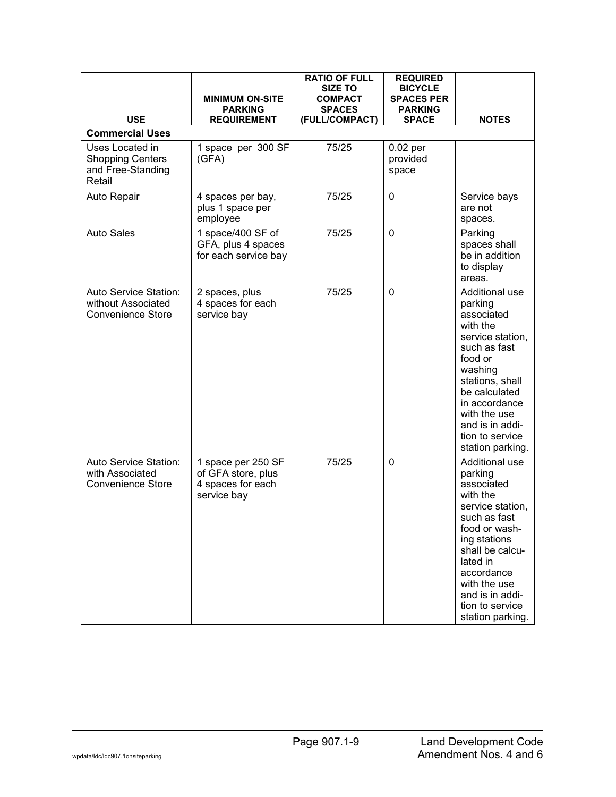| <b>USE</b>                                                                | <b>MINIMUM ON-SITE</b><br><b>PARKING</b><br><b>REQUIREMENT</b>               | <b>RATIO OF FULL</b><br><b>SIZE TO</b><br><b>COMPACT</b><br><b>SPACES</b><br>(FULL/COMPACT) | <b>REQUIRED</b><br><b>BICYCLE</b><br><b>SPACES PER</b><br><b>PARKING</b><br><b>SPACE</b> | <b>NOTES</b>                                                                                                                                                                                                                                    |
|---------------------------------------------------------------------------|------------------------------------------------------------------------------|---------------------------------------------------------------------------------------------|------------------------------------------------------------------------------------------|-------------------------------------------------------------------------------------------------------------------------------------------------------------------------------------------------------------------------------------------------|
| <b>Commercial Uses</b>                                                    |                                                                              |                                                                                             |                                                                                          |                                                                                                                                                                                                                                                 |
| Uses Located in<br><b>Shopping Centers</b><br>and Free-Standing<br>Retail | 1 space per 300 SF<br>(GFA)                                                  | 75/25                                                                                       | $0.02$ per<br>provided<br>space                                                          |                                                                                                                                                                                                                                                 |
| Auto Repair                                                               | 4 spaces per bay,<br>plus 1 space per<br>employee                            | 75/25                                                                                       | $\mathbf 0$                                                                              | Service bays<br>are not<br>spaces.                                                                                                                                                                                                              |
| <b>Auto Sales</b>                                                         | 1 space/400 SF of<br>GFA, plus 4 spaces<br>for each service bay              | 75/25                                                                                       | 0                                                                                        | Parking<br>spaces shall<br>be in addition<br>to display<br>areas.                                                                                                                                                                               |
| Auto Service Station:<br>without Associated<br><b>Convenience Store</b>   | 2 spaces, plus<br>4 spaces for each<br>service bay                           | 75/25                                                                                       | 0                                                                                        | Additional use<br>parking<br>associated<br>with the<br>service station,<br>such as fast<br>food or<br>washing<br>stations, shall<br>be calculated<br>in accordance<br>with the use<br>and is in addi-<br>tion to service<br>station parking.    |
| Auto Service Station:<br>with Associated<br><b>Convenience Store</b>      | 1 space per 250 SF<br>of GFA store, plus<br>4 spaces for each<br>service bay | 75/25                                                                                       | 0                                                                                        | Additional use<br>parking<br>associated<br>with the<br>service station,<br>such as fast<br>food or wash-<br>ing stations<br>shall be calcu-<br>lated in<br>accordance<br>with the use<br>and is in addi-<br>tion to service<br>station parking. |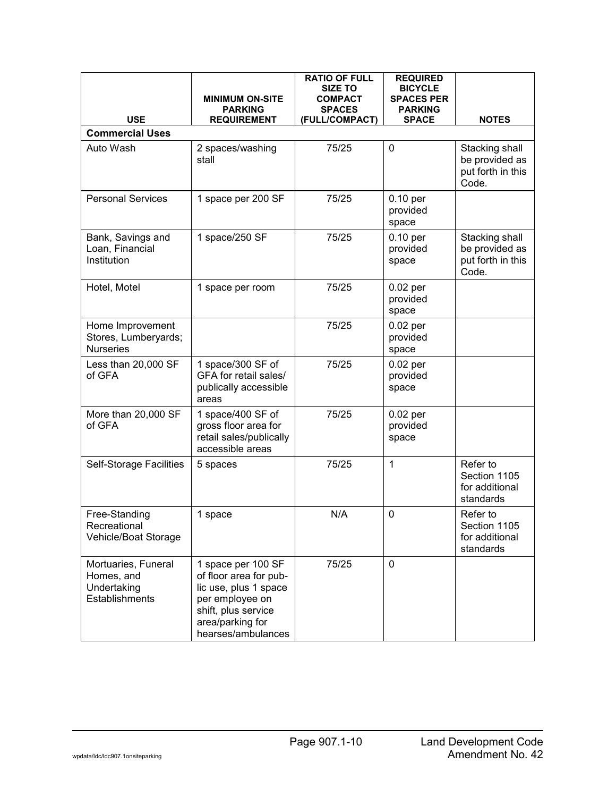| <b>USE</b>                                                         | <b>MINIMUM ON-SITE</b><br><b>PARKING</b><br><b>REQUIREMENT</b>                                                                                            | <b>RATIO OF FULL</b><br><b>SIZE TO</b><br>COMPACT<br><b>SPACES</b><br>(FULL/COMPACT) | <b>REQUIRED</b><br><b>BICYCLE</b><br><b>SPACES PER</b><br><b>PARKING</b><br><b>SPACE</b> | <b>NOTES</b>                                                   |
|--------------------------------------------------------------------|-----------------------------------------------------------------------------------------------------------------------------------------------------------|--------------------------------------------------------------------------------------|------------------------------------------------------------------------------------------|----------------------------------------------------------------|
| <b>Commercial Uses</b>                                             |                                                                                                                                                           |                                                                                      |                                                                                          |                                                                |
| Auto Wash                                                          | 2 spaces/washing<br>stall                                                                                                                                 | 75/25                                                                                | 0                                                                                        | Stacking shall<br>be provided as<br>put forth in this<br>Code. |
| <b>Personal Services</b>                                           | 1 space per 200 SF                                                                                                                                        | 75/25                                                                                | $0.10$ per<br>provided<br>space                                                          |                                                                |
| Bank, Savings and<br>Loan, Financial<br>Institution                | 1 space/250 SF                                                                                                                                            | 75/25                                                                                | 0.10 per<br>provided<br>space                                                            | Stacking shall<br>be provided as<br>put forth in this<br>Code. |
| Hotel, Motel                                                       | 1 space per room                                                                                                                                          | 75/25                                                                                | $0.02$ per<br>provided<br>space                                                          |                                                                |
| Home Improvement<br>Stores, Lumberyards;<br><b>Nurseries</b>       |                                                                                                                                                           | 75/25                                                                                | $0.02$ per<br>provided<br>space                                                          |                                                                |
| Less than 20,000 SF<br>of GFA                                      | 1 space/300 SF of<br>GFA for retail sales/<br>publically accessible<br>areas                                                                              | 75/25                                                                                | $0.02$ per<br>provided<br>space                                                          |                                                                |
| More than 20,000 SF<br>of GFA                                      | 1 space/400 SF of<br>gross floor area for<br>retail sales/publically<br>accessible areas                                                                  | 75/25                                                                                | $0.02$ per<br>provided<br>space                                                          |                                                                |
| <b>Self-Storage Facilities</b>                                     | 5 spaces                                                                                                                                                  | 75/25                                                                                | 1                                                                                        | Refer to<br>Section 1105<br>for additional<br>standards        |
| Free-Standing<br>Recreational<br>Vehicle/Boat Storage              | 1 space                                                                                                                                                   | N/A                                                                                  | $\mathbf 0$                                                                              | Refer to<br>Section 1105<br>for additional<br>standards        |
| Mortuaries, Funeral<br>Homes, and<br>Undertaking<br>Establishments | 1 space per 100 SF<br>of floor area for pub-<br>lic use, plus 1 space<br>per employee on<br>shift, plus service<br>area/parking for<br>hearses/ambulances | 75/25                                                                                | $\mathbf 0$                                                                              |                                                                |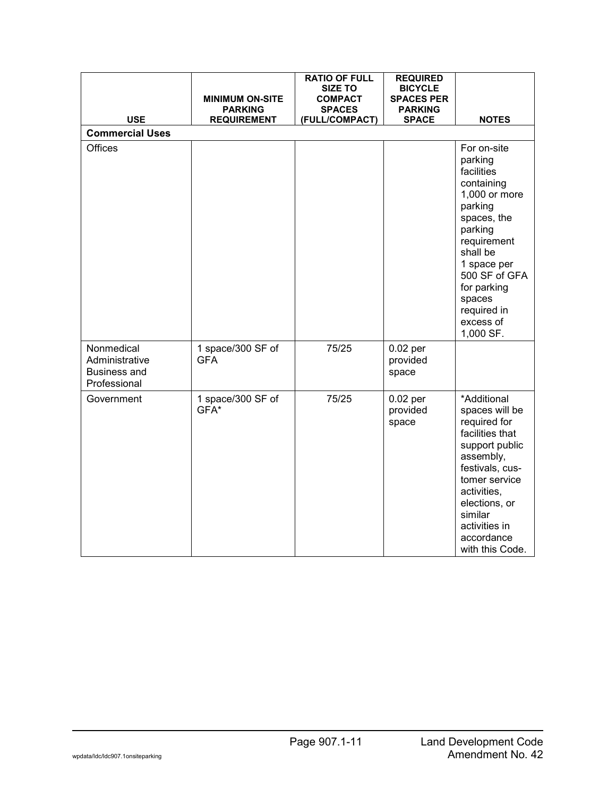| <b>USE</b>                                                          | <b>MINIMUM ON-SITE</b><br><b>PARKING</b><br><b>REQUIREMENT</b> | <b>RATIO OF FULL</b><br><b>SIZE TO</b><br><b>COMPACT</b><br><b>SPACES</b><br>(FULL/COMPACT) | <b>REQUIRED</b><br><b>BICYCLE</b><br><b>SPACES PER</b><br><b>PARKING</b><br><b>SPACE</b> | <b>NOTES</b>                                                                                                                                                                                                                          |
|---------------------------------------------------------------------|----------------------------------------------------------------|---------------------------------------------------------------------------------------------|------------------------------------------------------------------------------------------|---------------------------------------------------------------------------------------------------------------------------------------------------------------------------------------------------------------------------------------|
| <b>Commercial Uses</b>                                              |                                                                |                                                                                             |                                                                                          |                                                                                                                                                                                                                                       |
| Offices                                                             |                                                                |                                                                                             |                                                                                          | For on-site<br>parking<br>facilities<br>containing<br>1,000 or more<br>parking<br>spaces, the<br>parking<br>requirement<br>shall be<br>1 space per<br>500 SF of GFA<br>for parking<br>spaces<br>required in<br>excess of<br>1,000 SF. |
| Nonmedical<br>Administrative<br><b>Business and</b><br>Professional | 1 space/300 SF of<br><b>GFA</b>                                | 75/25                                                                                       | $0.02$ per<br>provided<br>space                                                          |                                                                                                                                                                                                                                       |
| Government                                                          | 1 space/300 SF of<br>GFA*                                      | 75/25                                                                                       | $0.02$ per<br>provided<br>space                                                          | *Additional<br>spaces will be<br>required for<br>facilities that<br>support public<br>assembly,<br>festivals, cus-<br>tomer service<br>activities,<br>elections, or<br>similar<br>activities in<br>accordance<br>with this Code.      |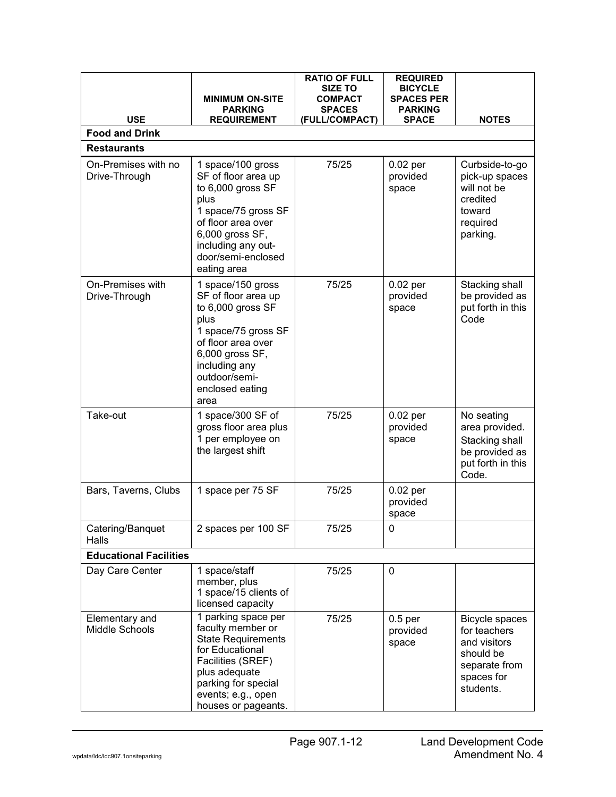|                                      |                                                                                                                                                                                                    | <b>RATIO OF FULL</b><br>SIZE TO | <b>REQUIRED</b><br><b>BICYCLE</b>       |                                                                                                         |
|--------------------------------------|----------------------------------------------------------------------------------------------------------------------------------------------------------------------------------------------------|---------------------------------|-----------------------------------------|---------------------------------------------------------------------------------------------------------|
|                                      | <b>MINIMUM ON-SITE</b><br><b>PARKING</b>                                                                                                                                                           | <b>COMPACT</b><br><b>SPACES</b> | <b>SPACES PER</b><br><b>PARKING</b>     |                                                                                                         |
| <b>USE</b>                           | <b>REQUIREMENT</b>                                                                                                                                                                                 | (FULL/COMPACT)                  | <b>SPACE</b>                            | <b>NOTES</b>                                                                                            |
| <b>Food and Drink</b>                |                                                                                                                                                                                                    |                                 |                                         |                                                                                                         |
| <b>Restaurants</b>                   |                                                                                                                                                                                                    |                                 |                                         |                                                                                                         |
| On-Premises with no<br>Drive-Through | 1 space/100 gross<br>SF of floor area up<br>to 6,000 gross SF<br>plus<br>1 space/75 gross SF<br>of floor area over<br>6,000 gross SF,<br>including any out-<br>door/semi-enclosed<br>eating area   | 75/25                           | $0.02$ per<br>provided<br>space         | Curbside-to-go<br>pick-up spaces<br>will not be<br>credited<br>toward<br>required<br>parking.           |
| On-Premises with<br>Drive-Through    | 1 space/150 gross<br>SF of floor area up<br>to 6,000 gross SF<br>plus<br>1 space/75 gross SF<br>of floor area over<br>6,000 gross SF,<br>including any<br>outdoor/semi-<br>enclosed eating<br>area | 75/25                           | $0.02$ per<br>provided<br>space         | Stacking shall<br>be provided as<br>put forth in this<br>Code                                           |
| Take-out                             | 1 space/300 SF of<br>gross floor area plus<br>1 per employee on<br>the largest shift                                                                                                               | 75/25                           | $0.02$ per<br>provided<br>space         | No seating<br>area provided.<br>Stacking shall<br>be provided as<br>put forth in this<br>Code.          |
| Bars, Taverns, Clubs                 | 1 space per 75 SF                                                                                                                                                                                  | 75/25                           | $0.02$ per<br>provided<br>space         |                                                                                                         |
| Catering/Banquet<br>Halls            | 2 spaces per 100 SF                                                                                                                                                                                | 75/25                           | 0                                       |                                                                                                         |
| <b>Educational Facilities</b>        |                                                                                                                                                                                                    |                                 |                                         |                                                                                                         |
| Day Care Center                      | 1 space/staff<br>member, plus<br>1 space/15 clients of<br>licensed capacity                                                                                                                        | 75/25                           | 0                                       |                                                                                                         |
| Elementary and<br>Middle Schools     | 1 parking space per<br>faculty member or<br><b>State Requirements</b><br>for Educational<br>Facilities (SREF)<br>plus adequate<br>parking for special<br>events; e.g., open<br>houses or pageants. | 75/25                           | 0.5 <sub>per</sub><br>provided<br>space | Bicycle spaces<br>for teachers<br>and visitors<br>should be<br>separate from<br>spaces for<br>students. |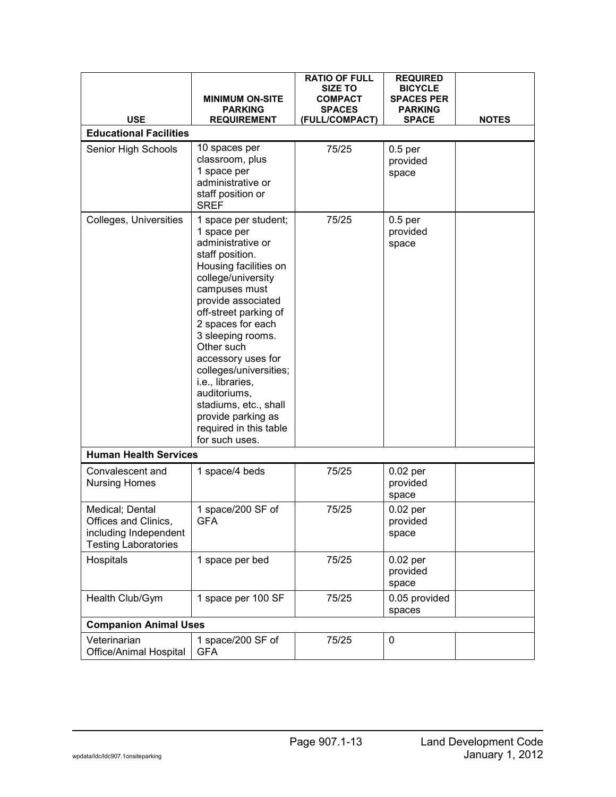|                                                                                                 | <b>MINIMUM ON-SITE</b><br><b>PARKING</b>                                                                                                                                                                                                                                                                                                                                                                                          | <b>RATIO OF FULL</b><br><b>SIZE TO</b><br><b>COMPACT</b><br><b>SPACES</b> | <b>REQUIRED</b><br><b>BICYCLE</b><br><b>SPACES PER</b><br><b>PARKING</b> |              |
|-------------------------------------------------------------------------------------------------|-----------------------------------------------------------------------------------------------------------------------------------------------------------------------------------------------------------------------------------------------------------------------------------------------------------------------------------------------------------------------------------------------------------------------------------|---------------------------------------------------------------------------|--------------------------------------------------------------------------|--------------|
| <b>USE</b>                                                                                      | <b>REQUIREMENT</b>                                                                                                                                                                                                                                                                                                                                                                                                                | (FULL/COMPACT)                                                            | <b>SPACE</b>                                                             | <b>NOTES</b> |
| <b>Educational Facilities</b>                                                                   |                                                                                                                                                                                                                                                                                                                                                                                                                                   |                                                                           |                                                                          |              |
| Senior High Schools                                                                             | 10 spaces per<br>classroom, plus<br>1 space per<br>administrative or<br>staff position or<br><b>SREF</b>                                                                                                                                                                                                                                                                                                                          | 75/25                                                                     | 0.5 <sub>per</sub><br>provided<br>space                                  |              |
| Colleges, Universities                                                                          | 1 space per student;<br>1 space per<br>administrative or<br>staff position.<br>Housing facilities on<br>college/university<br>campuses must<br>provide associated<br>off-street parking of<br>2 spaces for each<br>3 sleeping rooms.<br>Other such<br>accessory uses for<br>colleges/universities;<br>i.e., libraries,<br>auditoriums,<br>stadiums, etc., shall<br>provide parking as<br>required in this table<br>for such uses. | 75/25                                                                     | 0.5 <sub>per</sub><br>provided<br>space                                  |              |
| <b>Human Health Services</b>                                                                    |                                                                                                                                                                                                                                                                                                                                                                                                                                   |                                                                           |                                                                          |              |
| Convalescent and<br><b>Nursing Homes</b>                                                        | 1 space/4 beds                                                                                                                                                                                                                                                                                                                                                                                                                    | 75/25                                                                     | $0.02$ per<br>provided<br>space                                          |              |
| Medical; Dental<br>Offices and Clinics,<br>including Independent<br><b>Testing Laboratories</b> | 1 space/200 SF of<br><b>GFA</b>                                                                                                                                                                                                                                                                                                                                                                                                   | 75/25                                                                     | $0.02$ per<br>provided<br>space                                          |              |
| Hospitals                                                                                       | 1 space per bed                                                                                                                                                                                                                                                                                                                                                                                                                   | 75/25                                                                     | $0.02$ per<br>provided<br>space                                          |              |
| Health Club/Gym                                                                                 | 1 space per 100 SF                                                                                                                                                                                                                                                                                                                                                                                                                | 75/25                                                                     | 0.05 provided<br>spaces                                                  |              |
| <b>Companion Animal Uses</b>                                                                    |                                                                                                                                                                                                                                                                                                                                                                                                                                   |                                                                           |                                                                          |              |
| Veterinarian<br>Office/Animal Hospital                                                          | 1 space/200 SF of<br><b>GFA</b>                                                                                                                                                                                                                                                                                                                                                                                                   | 75/25                                                                     | 0                                                                        |              |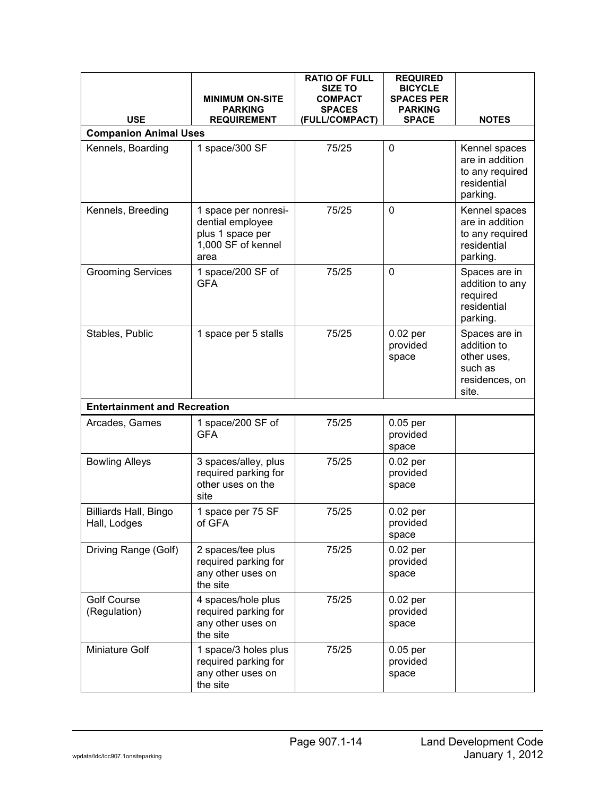|                                                   | <b>MINIMUM ON-SITE</b><br><b>PARKING</b>                                                   | <b>RATIO OF FULL</b><br><b>SIZE TO</b><br><b>COMPACT</b><br><b>SPACES</b> | <b>REQUIRED</b><br><b>BICYCLE</b><br><b>SPACES PER</b><br><b>PARKING</b> |                                                                                   |
|---------------------------------------------------|--------------------------------------------------------------------------------------------|---------------------------------------------------------------------------|--------------------------------------------------------------------------|-----------------------------------------------------------------------------------|
| <b>USE</b>                                        | <b>REQUIREMENT</b>                                                                         | (FULL/COMPACT)                                                            | <b>SPACE</b>                                                             | <b>NOTES</b>                                                                      |
| <b>Companion Animal Uses</b><br>Kennels, Boarding | 1 space/300 SF                                                                             | 75/25                                                                     | 0                                                                        | Kennel spaces<br>are in addition<br>to any required<br>residential<br>parking.    |
| Kennels, Breeding                                 | 1 space per nonresi-<br>dential employee<br>plus 1 space per<br>1,000 SF of kennel<br>area | 75/25                                                                     | 0                                                                        | Kennel spaces<br>are in addition<br>to any required<br>residential<br>parking.    |
| <b>Grooming Services</b>                          | 1 space/200 SF of<br><b>GFA</b>                                                            | 75/25                                                                     | 0                                                                        | Spaces are in<br>addition to any<br>required<br>residential<br>parking.           |
| Stables, Public                                   | 1 space per 5 stalls                                                                       | 75/25                                                                     | $0.02$ per<br>provided<br>space                                          | Spaces are in<br>addition to<br>other uses,<br>such as<br>residences, on<br>site. |
| <b>Entertainment and Recreation</b>               |                                                                                            |                                                                           |                                                                          |                                                                                   |
| Arcades, Games                                    | 1 space/200 SF of<br><b>GFA</b>                                                            | 75/25                                                                     | $0.05$ per<br>provided<br>space                                          |                                                                                   |
| <b>Bowling Alleys</b>                             | 3 spaces/alley, plus<br>required parking for<br>other uses on the<br>site                  | 75/25                                                                     | $0.02$ per<br>provided<br>space                                          |                                                                                   |
| Billiards Hall, Bingo<br>Hall, Lodges             | 1 space per 75 SF<br>of GFA                                                                | 75/25                                                                     | $0.02$ per<br>provided<br>space                                          |                                                                                   |
| Driving Range (Golf)                              | 2 spaces/tee plus<br>required parking for<br>any other uses on<br>the site                 | 75/25                                                                     | $0.02$ per<br>provided<br>space                                          |                                                                                   |
| <b>Golf Course</b><br>(Regulation)                | 4 spaces/hole plus<br>required parking for<br>any other uses on<br>the site                | 75/25                                                                     | $0.02$ per<br>provided<br>space                                          |                                                                                   |
| Miniature Golf                                    | 1 space/3 holes plus<br>required parking for<br>any other uses on<br>the site              | 75/25                                                                     | $0.05$ per<br>provided<br>space                                          |                                                                                   |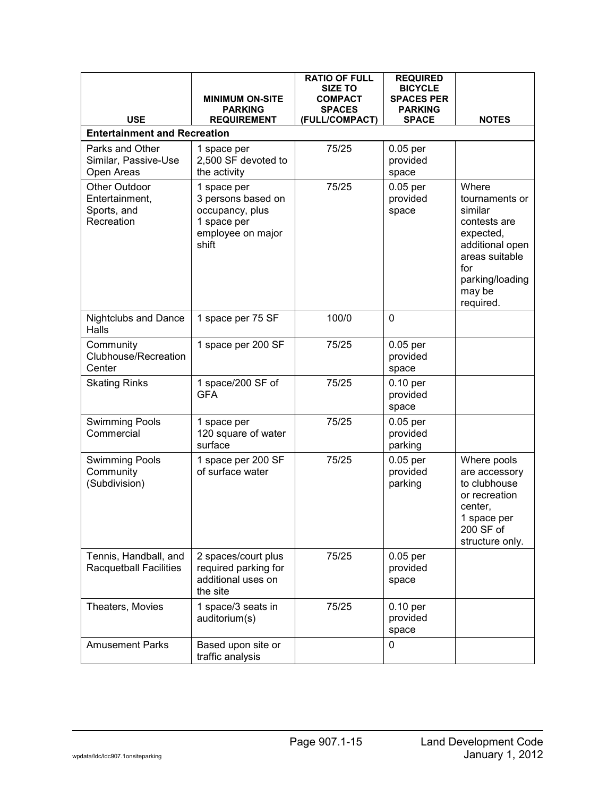| <b>USE</b>                                                   | <b>MINIMUM ON-SITE</b><br><b>PARKING</b><br><b>REQUIREMENT</b>                                    | <b>RATIO OF FULL</b><br><b>SIZE TO</b><br><b>COMPACT</b><br><b>SPACES</b><br>(FULL/COMPACT) | <b>REQUIRED</b><br><b>BICYCLE</b><br><b>SPACES PER</b><br><b>PARKING</b><br><b>SPACE</b> | <b>NOTES</b>                                                                                                                                          |
|--------------------------------------------------------------|---------------------------------------------------------------------------------------------------|---------------------------------------------------------------------------------------------|------------------------------------------------------------------------------------------|-------------------------------------------------------------------------------------------------------------------------------------------------------|
| <b>Entertainment and Recreation</b>                          |                                                                                                   |                                                                                             |                                                                                          |                                                                                                                                                       |
| Parks and Other<br>Similar, Passive-Use<br>Open Areas        | 1 space per<br>2,500 SF devoted to<br>the activity                                                | 75/25                                                                                       | $0.05$ per<br>provided<br>space                                                          |                                                                                                                                                       |
| Other Outdoor<br>Entertainment,<br>Sports, and<br>Recreation | 1 space per<br>3 persons based on<br>occupancy, plus<br>1 space per<br>employee on major<br>shift | 75/25                                                                                       | $0.05$ per<br>provided<br>space                                                          | Where<br>tournaments or<br>similar<br>contests are<br>expected,<br>additional open<br>areas suitable<br>for<br>parking/loading<br>may be<br>required. |
| <b>Nightclubs and Dance</b><br>Halls                         | 1 space per 75 SF                                                                                 | 100/0                                                                                       | 0                                                                                        |                                                                                                                                                       |
| Community<br>Clubhouse/Recreation<br>Center                  | 1 space per 200 SF                                                                                | 75/25                                                                                       | $0.05$ per<br>provided<br>space                                                          |                                                                                                                                                       |
| <b>Skating Rinks</b>                                         | 1 space/200 SF of<br><b>GFA</b>                                                                   | 75/25                                                                                       | $0.10$ per<br>provided<br>space                                                          |                                                                                                                                                       |
| <b>Swimming Pools</b><br>Commercial                          | 1 space per<br>120 square of water<br>surface                                                     | 75/25                                                                                       | $0.05$ per<br>provided<br>parking                                                        |                                                                                                                                                       |
| <b>Swimming Pools</b><br>Community<br>(Subdivision)          | 1 space per 200 SF<br>of surface water                                                            | 75/25                                                                                       | $0.05$ per<br>provided<br>parking                                                        | Where pools<br>are accessory<br>to clubhouse<br>or recreation<br>center,<br>1 space per<br>200 SF of<br>structure only.                               |
| Tennis, Handball, and<br>Racquetball Facilities              | 2 spaces/court plus<br>required parking for<br>additional uses on<br>the site                     | 75/25                                                                                       | $0.05$ per<br>provided<br>space                                                          |                                                                                                                                                       |
| Theaters, Movies                                             | 1 space/3 seats in<br>auditorium(s)                                                               | 75/25                                                                                       | $0.10$ per<br>provided<br>space                                                          |                                                                                                                                                       |
| <b>Amusement Parks</b>                                       | Based upon site or<br>traffic analysis                                                            |                                                                                             | 0                                                                                        |                                                                                                                                                       |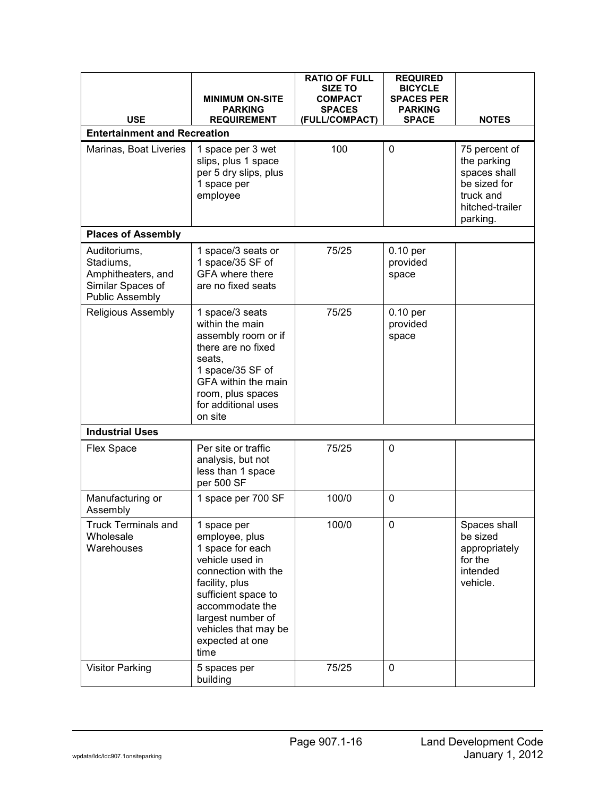| <b>USE</b>                                                                                     | <b>MINIMUM ON-SITE</b><br><b>PARKING</b><br><b>REQUIREMENT</b>                                                                                                                                                                  | <b>RATIO OF FULL</b><br><b>SIZE TO</b><br><b>COMPACT</b><br><b>SPACES</b><br>(FULL/COMPACT) | <b>REQUIRED</b><br><b>BICYCLE</b><br><b>SPACES PER</b><br><b>PARKING</b><br><b>SPACE</b> | <b>NOTES</b>                                                                                             |
|------------------------------------------------------------------------------------------------|---------------------------------------------------------------------------------------------------------------------------------------------------------------------------------------------------------------------------------|---------------------------------------------------------------------------------------------|------------------------------------------------------------------------------------------|----------------------------------------------------------------------------------------------------------|
| <b>Entertainment and Recreation</b>                                                            |                                                                                                                                                                                                                                 |                                                                                             |                                                                                          |                                                                                                          |
| Marinas, Boat Liveries                                                                         | 1 space per 3 wet<br>slips, plus 1 space<br>per 5 dry slips, plus<br>1 space per<br>employee                                                                                                                                    | 100                                                                                         | 0                                                                                        | 75 percent of<br>the parking<br>spaces shall<br>be sized for<br>truck and<br>hitched-trailer<br>parking. |
| <b>Places of Assembly</b>                                                                      |                                                                                                                                                                                                                                 |                                                                                             |                                                                                          |                                                                                                          |
| Auditoriums,<br>Stadiums,<br>Amphitheaters, and<br>Similar Spaces of<br><b>Public Assembly</b> | 1 space/3 seats or<br>1 space/35 SF of<br><b>GFA</b> where there<br>are no fixed seats                                                                                                                                          | 75/25                                                                                       | 0.10 per<br>provided<br>space                                                            |                                                                                                          |
| <b>Religious Assembly</b>                                                                      | 1 space/3 seats<br>within the main<br>assembly room or if<br>there are no fixed<br>seats,<br>1 space/35 SF of<br><b>GFA within the main</b><br>room, plus spaces<br>for additional uses<br>on site                              | 75/25                                                                                       | $0.10$ per<br>provided<br>space                                                          |                                                                                                          |
| <b>Industrial Uses</b>                                                                         |                                                                                                                                                                                                                                 |                                                                                             |                                                                                          |                                                                                                          |
| Flex Space                                                                                     | Per site or traffic<br>analysis, but not<br>less than 1 space<br>per 500 SF                                                                                                                                                     | 75/25                                                                                       | 0                                                                                        |                                                                                                          |
| Manufacturing or<br>Assembly                                                                   | 1 space per 700 SF                                                                                                                                                                                                              | 100/0                                                                                       | 0                                                                                        |                                                                                                          |
| <b>Truck Terminals and</b><br>Wholesale<br>Warehouses                                          | 1 space per<br>employee, plus<br>1 space for each<br>vehicle used in<br>connection with the<br>facility, plus<br>sufficient space to<br>accommodate the<br>largest number of<br>vehicles that may be<br>expected at one<br>time | 100/0                                                                                       | 0                                                                                        | Spaces shall<br>be sized<br>appropriately<br>for the<br>intended<br>vehicle.                             |
| <b>Visitor Parking</b>                                                                         | 5 spaces per<br>building                                                                                                                                                                                                        | 75/25                                                                                       | 0                                                                                        |                                                                                                          |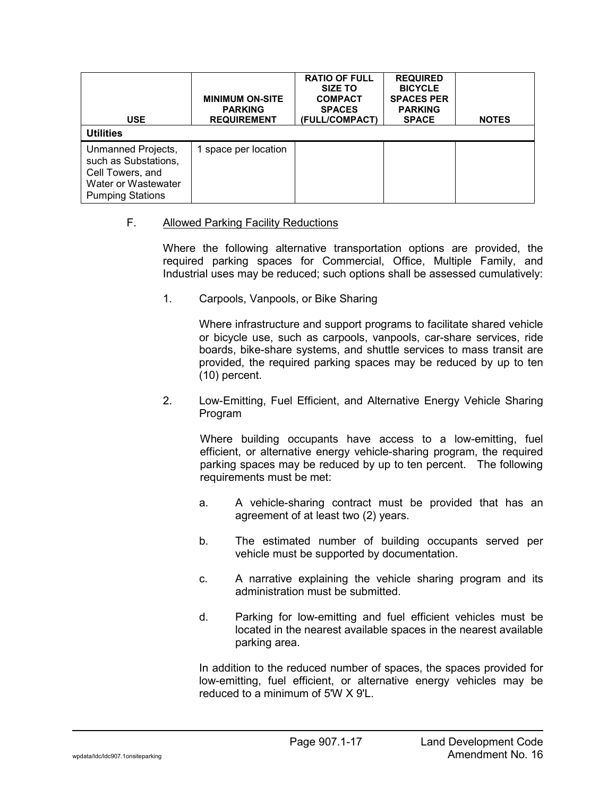| <b>USE</b><br><b>Utilities</b>                                                                                   | <b>MINIMUM ON-SITE</b><br><b>PARKING</b><br><b>REQUIREMENT</b> | <b>RATIO OF FULL</b><br><b>SIZE TO</b><br><b>COMPACT</b><br><b>SPACES</b><br>(FULL/COMPACT) | <b>REQUIRED</b><br><b>BICYCLE</b><br><b>SPACES PER</b><br><b>PARKING</b><br><b>SPACE</b> | <b>NOTES</b> |
|------------------------------------------------------------------------------------------------------------------|----------------------------------------------------------------|---------------------------------------------------------------------------------------------|------------------------------------------------------------------------------------------|--------------|
| Unmanned Projects,<br>such as Substations,<br>Cell Towers, and<br>Water or Wastewater<br><b>Pumping Stations</b> | 1 space per location                                           |                                                                                             |                                                                                          |              |

### F. Allowed Parking Facility Reductions

Where the following alternative transportation options are provided, the required parking spaces for Commercial, Office, Multiple Family, and Industrial uses may be reduced; such options shall be assessed cumulatively:

1. Carpools, Vanpools, or Bike Sharing

Where infrastructure and support programs to facilitate shared vehicle or bicycle use, such as carpools, vanpools, car-share services, ride boards, bike-share systems, and shuttle services to mass transit are provided, the required parking spaces may be reduced by up to ten (10) percent.

2. Low-Emitting, Fuel Efficient, and Alternative Energy Vehicle Sharing Program

Where building occupants have access to a low-emitting, fuel efficient, or alternative energy vehicle-sharing program, the required parking spaces may be reduced by up to ten percent. The following requirements must be met:

- a. A vehicle-sharing contract must be provided that has an agreement of at least two (2) years.
- b. The estimated number of building occupants served per vehicle must be supported by documentation.
- c. A narrative explaining the vehicle sharing program and its administration must be submitted.
- d. Parking for low-emitting and fuel efficient vehicles must be located in the nearest available spaces in the nearest available parking area.

In addition to the reduced number of spaces, the spaces provided for low-emitting, fuel efficient, or alternative energy vehicles may be reduced to a minimum of 5'W X 9'L.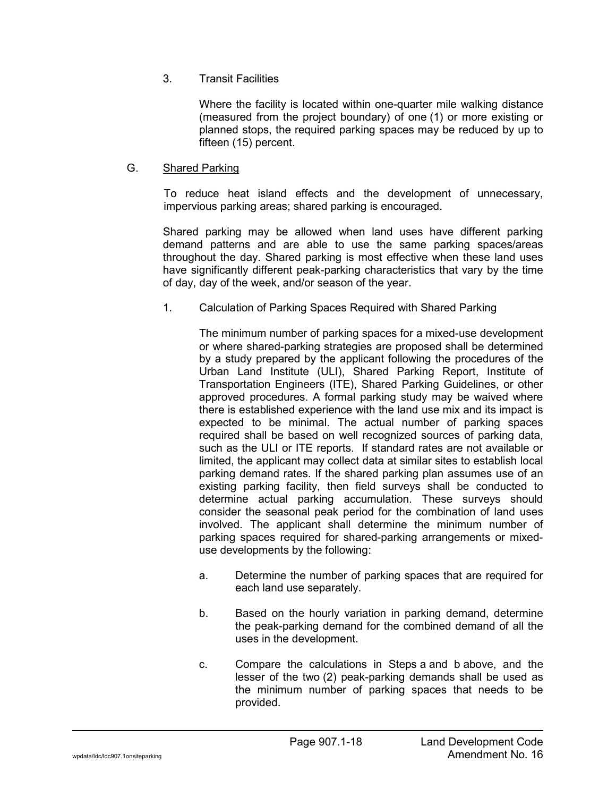## 3. Transit Facilities

Where the facility is located within one-quarter mile walking distance (measured from the project boundary) of one (1) or more existing or planned stops, the required parking spaces may be reduced by up to fifteen (15) percent.

## G. Shared Parking

To reduce heat island effects and the development of unnecessary, impervious parking areas; shared parking is encouraged.

Shared parking may be allowed when land uses have different parking demand patterns and are able to use the same parking spaces/areas throughout the day. Shared parking is most effective when these land uses have significantly different peak-parking characteristics that vary by the time of day, day of the week, and/or season of the year.

1. Calculation of Parking Spaces Required with Shared Parking

The minimum number of parking spaces for a mixed-use development or where shared-parking strategies are proposed shall be determined by a study prepared by the applicant following the procedures of the Urban Land Institute (ULI), Shared Parking Report, Institute of Transportation Engineers (ITE), Shared Parking Guidelines, or other approved procedures. A formal parking study may be waived where there is established experience with the land use mix and its impact is expected to be minimal. The actual number of parking spaces required shall be based on well recognized sources of parking data, such as the ULI or ITE reports. If standard rates are not available or limited, the applicant may collect data at similar sites to establish local parking demand rates. If the shared parking plan assumes use of an existing parking facility, then field surveys shall be conducted to determine actual parking accumulation. These surveys should consider the seasonal peak period for the combination of land uses involved. The applicant shall determine the minimum number of parking spaces required for shared-parking arrangements or mixeduse developments by the following:

- a. Determine the number of parking spaces that are required for each land use separately.
- b. Based on the hourly variation in parking demand, determine the peak-parking demand for the combined demand of all the uses in the development.
- c. Compare the calculations in Steps a and b above, and the lesser of the two (2) peak-parking demands shall be used as the minimum number of parking spaces that needs to be provided.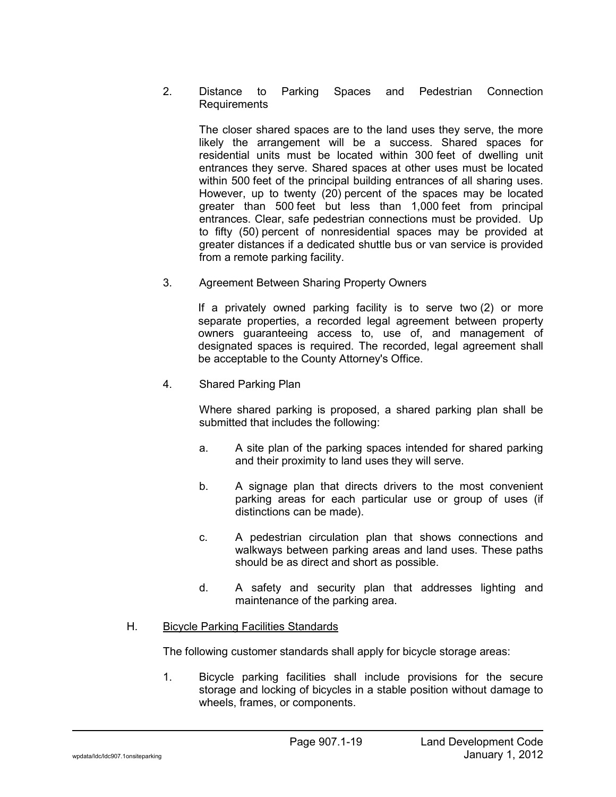### 2. Distance to Parking Spaces and Pedestrian Connection Requirements

The closer shared spaces are to the land uses they serve, the more likely the arrangement will be a success. Shared spaces for residential units must be located within 300 feet of dwelling unit entrances they serve. Shared spaces at other uses must be located within 500 feet of the principal building entrances of all sharing uses. However, up to twenty (20) percent of the spaces may be located greater than 500 feet but less than 1,000 feet from principal entrances. Clear, safe pedestrian connections must be provided. Up to fifty (50) percent of nonresidential spaces may be provided at greater distances if a dedicated shuttle bus or van service is provided from a remote parking facility.

3. Agreement Between Sharing Property Owners

If a privately owned parking facility is to serve two (2) or more separate properties, a recorded legal agreement between property owners guaranteeing access to, use of, and management of designated spaces is required. The recorded, legal agreement shall be acceptable to the County Attorney's Office.

4. Shared Parking Plan

Where shared parking is proposed, a shared parking plan shall be submitted that includes the following:

- a. A site plan of the parking spaces intended for shared parking and their proximity to land uses they will serve.
- b. A signage plan that directs drivers to the most convenient parking areas for each particular use or group of uses (if distinctions can be made).
- c. A pedestrian circulation plan that shows connections and walkways between parking areas and land uses. These paths should be as direct and short as possible.
- d. A safety and security plan that addresses lighting and maintenance of the parking area.

## H. Bicycle Parking Facilities Standards

The following customer standards shall apply for bicycle storage areas:

1. Bicycle parking facilities shall include provisions for the secure storage and locking of bicycles in a stable position without damage to wheels, frames, or components.